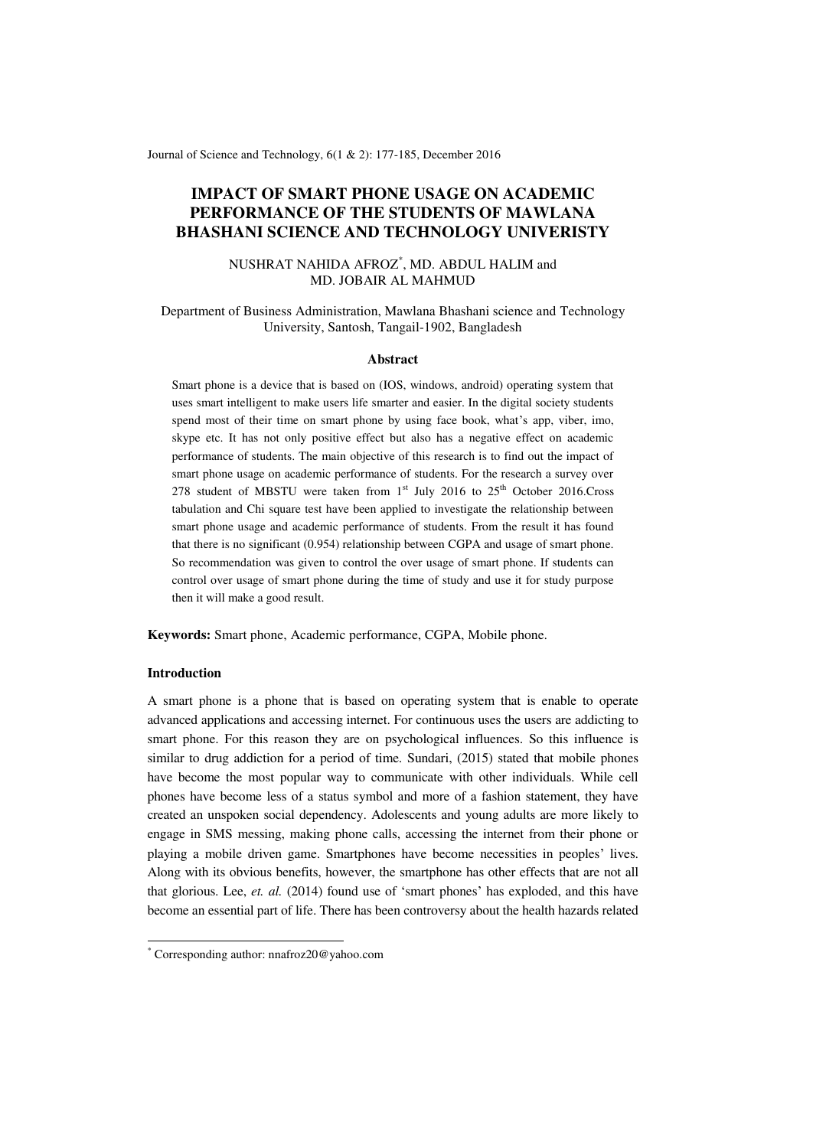Journal of Science and Technology, 6(1 & 2): 177-185, December 2016

# **IMPACT OF SMART PHONE USAGE ON ACADEMIC PERFORMANCE OF THE STUDENTS OF MAWLANA BHASHANI SCIENCE AND TECHNOLOGY UNIVERISTY**

# NUSHRAT NAHIDA AFROZ\* , MD. ABDUL HALIM and MD. JOBAIR AL MAHMUD

### Department of Business Administration, Mawlana Bhashani science and Technology University, Santosh, Tangail-1902, Bangladesh

#### **Abstract**

Smart phone is a device that is based on (IOS, windows, android) operating system that uses smart intelligent to make users life smarter and easier. In the digital society students spend most of their time on smart phone by using face book, what's app, viber, imo, skype etc. It has not only positive effect but also has a negative effect on academic performance of students. The main objective of this research is to find out the impact of smart phone usage on academic performance of students. For the research a survey over 278 student of MBSTU were taken from  $1<sup>st</sup>$  July 2016 to  $25<sup>th</sup>$  October 2016.Cross tabulation and Chi square test have been applied to investigate the relationship between smart phone usage and academic performance of students. From the result it has found that there is no significant (0.954) relationship between CGPA and usage of smart phone. So recommendation was given to control the over usage of smart phone. If students can control over usage of smart phone during the time of study and use it for study purpose then it will make a good result.

**Keywords:** Smart phone, Academic performance, CGPA, Mobile phone.

#### **Introduction**

A smart phone is a phone that is based on operating system that is enable to operate advanced applications and accessing internet. For continuous uses the users are addicting to smart phone. For this reason they are on psychological influences. So this influence is similar to drug addiction for a period of time. Sundari, (2015) stated that mobile phones have become the most popular way to communicate with other individuals. While cell phones have become less of a status symbol and more of a fashion statement, they have created an unspoken social dependency. Adolescents and young adults are more likely to engage in SMS messing, making phone calls, accessing the internet from their phone or playing a mobile driven game. Smartphones have become necessities in peoples' lives. Along with its obvious benefits, however, the smartphone has other effects that are not all that glorious. Lee, *et. al.* (2014) found use of 'smart phones' has exploded, and this have become an essential part of life. There has been controversy about the health hazards related

 \* Corresponding author: nnafroz20@yahoo.com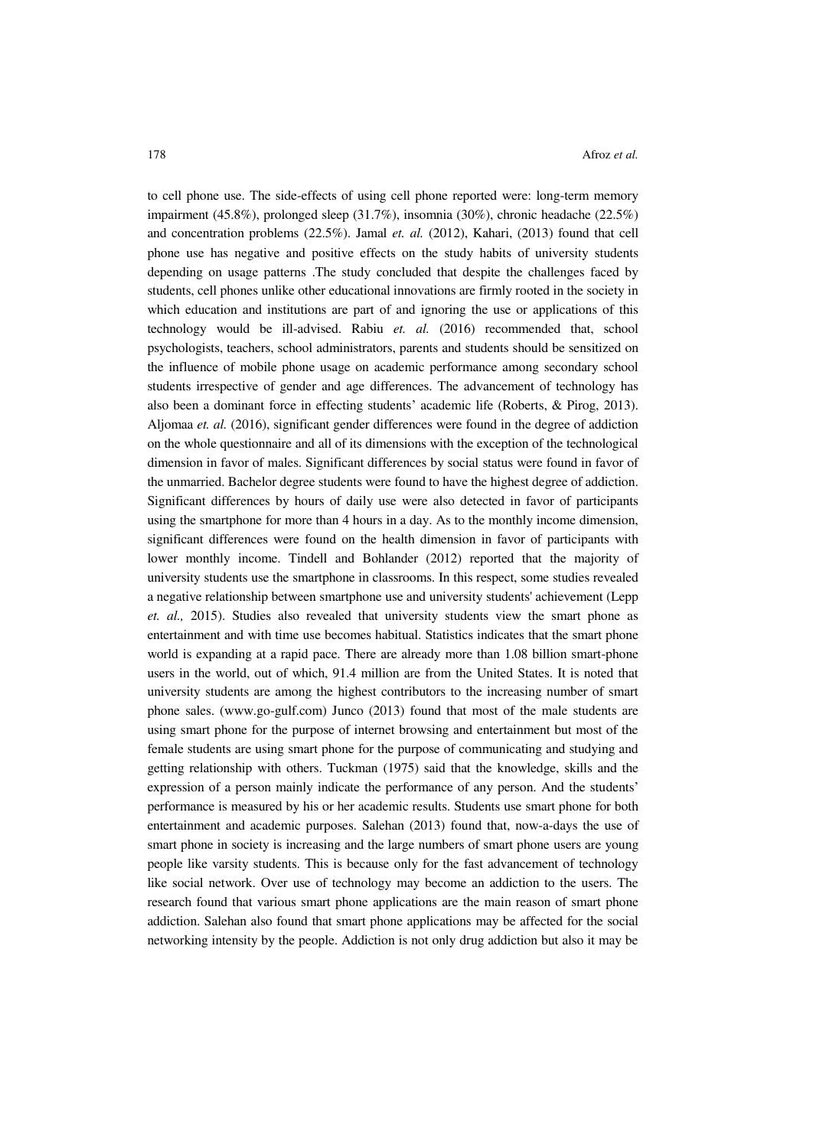to cell phone use. The side-effects of using cell phone reported were: long-term memory impairment (45.8%), prolonged sleep (31.7%), insomnia (30%), chronic headache (22.5%) and concentration problems (22.5%). Jamal *et. al.* (2012), Kahari, (2013) found that cell phone use has negative and positive effects on the study habits of university students depending on usage patterns .The study concluded that despite the challenges faced by students, cell phones unlike other educational innovations are firmly rooted in the society in which education and institutions are part of and ignoring the use or applications of this technology would be ill-advised. Rabiu *et. al.* (2016) recommended that, school psychologists, teachers, school administrators, parents and students should be sensitized on the influence of mobile phone usage on academic performance among secondary school students irrespective of gender and age differences. The advancement of technology has also been a dominant force in effecting students' academic life (Roberts, & Pirog, 2013). Aljomaa *et. al.* (2016), significant gender differences were found in the degree of addiction on the whole questionnaire and all of its dimensions with the exception of the technological dimension in favor of males. Significant differences by social status were found in favor of the unmarried. Bachelor degree students were found to have the highest degree of addiction. Significant differences by hours of daily use were also detected in favor of participants using the smartphone for more than 4 hours in a day. As to the monthly income dimension, significant differences were found on the health dimension in favor of participants with lower monthly income. Tindell and Bohlander (2012) reported that the majority of university students use the smartphone in classrooms. In this respect, some studies revealed a negative relationship between smartphone use and university students' achievement (Lepp *et. al.,* 2015). Studies also revealed that university students view the smart phone as entertainment and with time use becomes habitual. Statistics indicates that the smart phone world is expanding at a rapid pace. There are already more than 1.08 billion smart-phone users in the world, out of which, 91.4 million are from the United States. It is noted that university students are among the highest contributors to the increasing number of smart phone sales. (www.go-gulf.com) Junco (2013) found that most of the male students are using smart phone for the purpose of internet browsing and entertainment but most of the female students are using smart phone for the purpose of communicating and studying and getting relationship with others. Tuckman (1975) said that the knowledge, skills and the expression of a person mainly indicate the performance of any person. And the students' performance is measured by his or her academic results. Students use smart phone for both entertainment and academic purposes. Salehan (2013) found that, now-a-days the use of smart phone in society is increasing and the large numbers of smart phone users are young people like varsity students. This is because only for the fast advancement of technology like social network. Over use of technology may become an addiction to the users. The research found that various smart phone applications are the main reason of smart phone addiction. Salehan also found that smart phone applications may be affected for the social networking intensity by the people. Addiction is not only drug addiction but also it may be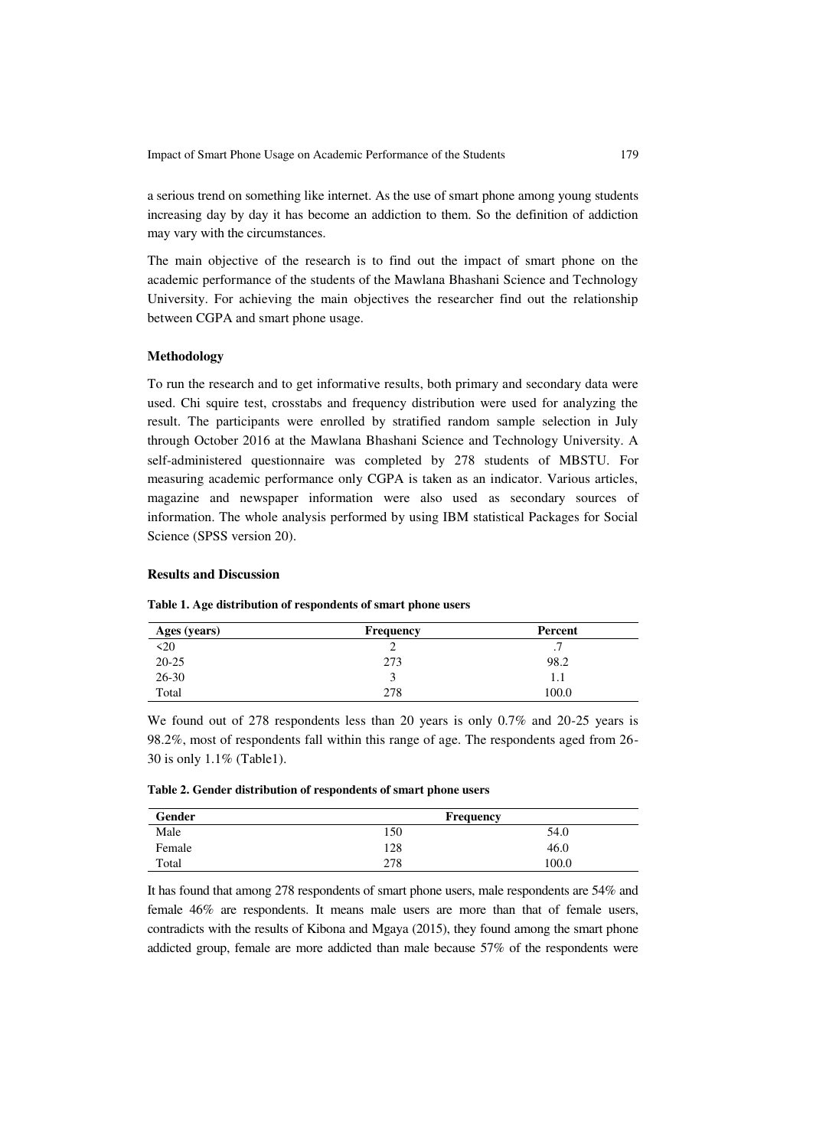a serious trend on something like internet. As the use of smart phone among young students increasing day by day it has become an addiction to them. So the definition of addiction may vary with the circumstances.

The main objective of the research is to find out the impact of smart phone on the academic performance of the students of the Mawlana Bhashani Science and Technology University. For achieving the main objectives the researcher find out the relationship between CGPA and smart phone usage.

### **Methodology**

To run the research and to get informative results, both primary and secondary data were used. Chi squire test, crosstabs and frequency distribution were used for analyzing the result. The participants were enrolled by stratified random sample selection in July through October 2016 at the Mawlana Bhashani Science and Technology University. A self-administered questionnaire was completed by 278 students of MBSTU. For measuring academic performance only CGPA is taken as an indicator. Various articles, magazine and newspaper information were also used as secondary sources of information. The whole analysis performed by using IBM statistical Packages for Social Science (SPSS version 20).

## **Results and Discussion**

| Ages (years) | Frequency | Percent         |
|--------------|-----------|-----------------|
| $\leq$ 20    |           | $\cdot$ $\cdot$ |
| $20 - 25$    | 273       | 98.2            |
| $26 - 30$    |           |                 |
| Total        | 278       | 100.0           |

#### **Table 1. Age distribution of respondents of smart phone users**

We found out of 278 respondents less than 20 years is only 0.7% and 20-25 years is 98.2%, most of respondents fall within this range of age. The respondents aged from 26- 30 is only 1.1% (Table1).

**Table 2. Gender distribution of respondents of smart phone users** 

| Gender | <b>Frequency</b> |       |  |  |  |
|--------|------------------|-------|--|--|--|
| Male   | 150              | 54.0  |  |  |  |
| Female | 128              | 46.0  |  |  |  |
| Total  | 278              | 100.0 |  |  |  |

It has found that among 278 respondents of smart phone users, male respondents are 54% and female 46% are respondents. It means male users are more than that of female users, contradicts with the results of Kibona and Mgaya (2015), they found among the smart phone addicted group, female are more addicted than male because 57% of the respondents were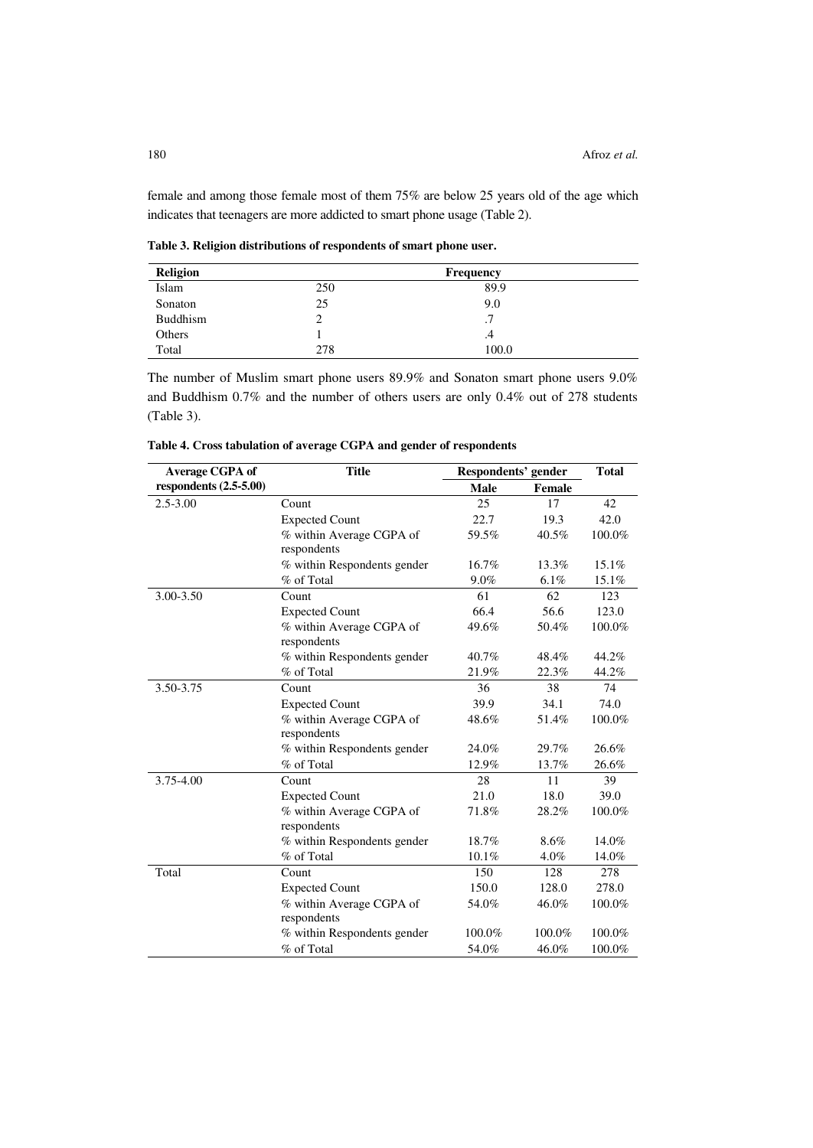female and among those female most of them 75% are below 25 years old of the age which indicates that teenagers are more addicted to smart phone usage (Table 2).

**Table 3. Religion distributions of respondents of smart phone user.** 

| <b>Religion</b> |     | Frequency |  |
|-----------------|-----|-----------|--|
| Islam           | 250 | 89.9      |  |
| Sonaton         | 25  | 9.0       |  |
| <b>Buddhism</b> | ∠   | .7        |  |
| Others          |     | .4        |  |
| Total           | 278 | 100.0     |  |

The number of Muslim smart phone users 89.9% and Sonaton smart phone users 9.0% and Buddhism 0.7% and the number of others users are only 0.4% out of 278 students (Table 3).

| <b>Average CGPA of</b>   | <b>Title</b>                |          | Respondents' gender |        |  |
|--------------------------|-----------------------------|----------|---------------------|--------|--|
| respondents $(2.5-5.00)$ |                             | Male     | Female              |        |  |
| $2.5 - 3.00$             | Count                       | 25       | 17                  | 42     |  |
|                          | <b>Expected Count</b>       | 22.7     | 19.3                | 42.0   |  |
|                          | % within Average CGPA of    | 59.5%    | 40.5%               | 100.0% |  |
|                          | respondents                 |          |                     |        |  |
|                          | % within Respondents gender | 16.7%    | 13.3%               | 15.1%  |  |
|                          | % of Total                  | 9.0%     | 6.1%                | 15.1%  |  |
| 3.00-3.50                | Count                       | 61       | 62                  | 123    |  |
|                          | <b>Expected Count</b>       | 66.4     | 56.6                | 123.0  |  |
|                          | % within Average CGPA of    | 49.6%    | 50.4%               | 100.0% |  |
|                          | respondents                 |          |                     |        |  |
|                          | % within Respondents gender | 40.7%    | 48.4%               | 44.2%  |  |
|                          | % of Total                  | 21.9%    | 22.3%               | 44.2%  |  |
| 3.50-3.75                | Count                       | 36       | 38                  | 74     |  |
|                          | <b>Expected Count</b>       | 39.9     | 34.1                | 74.0   |  |
|                          | % within Average CGPA of    | 48.6%    | 51.4%               | 100.0% |  |
|                          | respondents                 |          |                     |        |  |
|                          | % within Respondents gender | 24.0%    | 29.7%               | 26.6%  |  |
|                          | % of Total                  | 12.9%    | 13.7%               | 26.6%  |  |
| 3.75-4.00                | Count                       | 28       | 11                  | 39     |  |
|                          | <b>Expected Count</b>       | 21.0     | 18.0                | 39.0   |  |
|                          | % within Average CGPA of    | 71.8%    | 28.2%               | 100.0% |  |
|                          | respondents                 |          |                     |        |  |
|                          | % within Respondents gender | 18.7%    | 8.6%                | 14.0%  |  |
|                          | % of Total                  | $10.1\%$ | 4.0%                | 14.0%  |  |
| Total                    | Count                       | 150      | 128                 | 278    |  |
|                          | <b>Expected Count</b>       | 150.0    | 128.0               | 278.0  |  |
|                          | % within Average CGPA of    | 54.0%    | 46.0%               | 100.0% |  |
|                          | respondents                 |          |                     |        |  |
|                          | % within Respondents gender | 100.0%   | 100.0%              | 100.0% |  |
|                          | % of Total                  | 54.0%    | 46.0%               | 100.0% |  |

**Table 4. Cross tabulation of average CGPA and gender of respondents**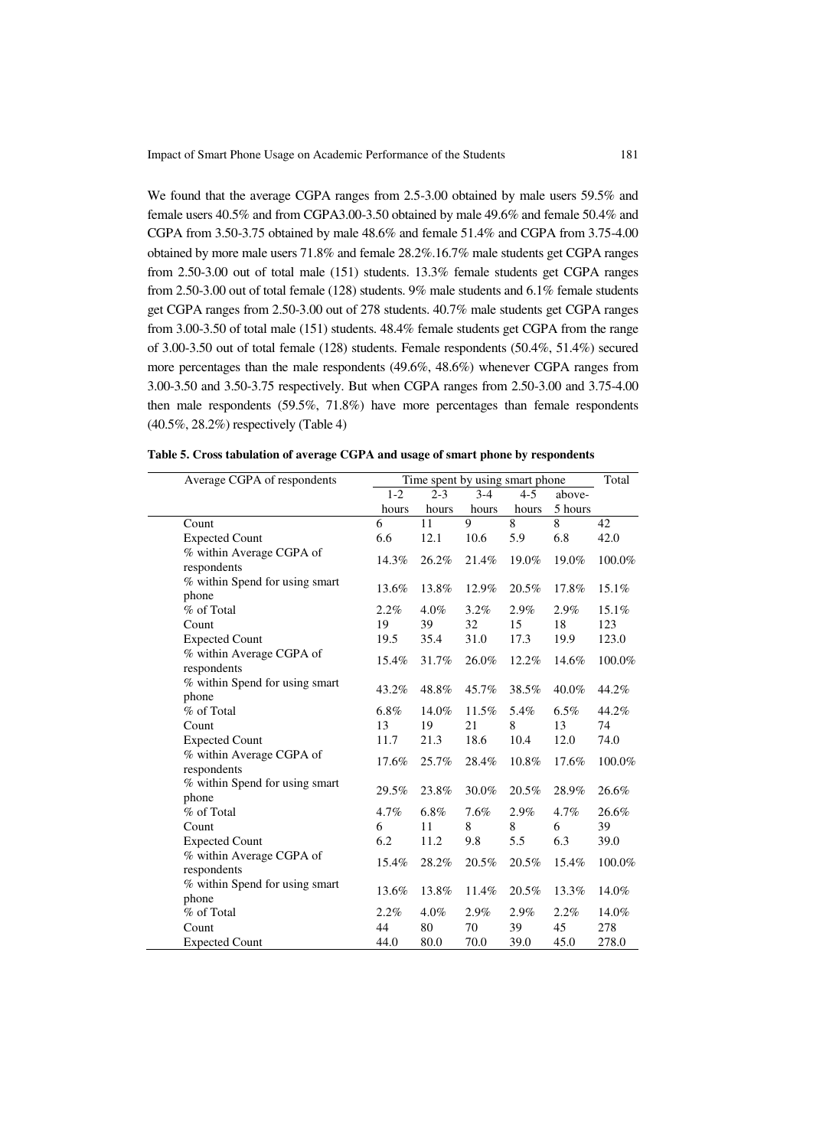We found that the average CGPA ranges from 2.5-3.00 obtained by male users 59.5% and female users 40.5% and from CGPA3.00-3.50 obtained by male 49.6% and female 50.4% and CGPA from 3.50-3.75 obtained by male 48.6% and female 51.4% and CGPA from 3.75-4.00 obtained by more male users 71.8% and female 28.2%.16.7% male students get CGPA ranges from 2.50-3.00 out of total male (151) students. 13.3% female students get CGPA ranges from 2.50-3.00 out of total female (128) students. 9% male students and 6.1% female students get CGPA ranges from 2.50-3.00 out of 278 students. 40.7% male students get CGPA ranges from 3.00-3.50 of total male (151) students. 48.4% female students get CGPA from the range of 3.00-3.50 out of total female (128) students. Female respondents (50.4%, 51.4%) secured more percentages than the male respondents (49.6%, 48.6%) whenever CGPA ranges from 3.00-3.50 and 3.50-3.75 respectively. But when CGPA ranges from 2.50-3.00 and 3.75-4.00 then male respondents (59.5%, 71.8%) have more percentages than female respondents (40.5%, 28.2%) respectively (Table 4)

| Average CGPA of respondents             |         | Time spent by using smart phone |         |         |         | Total  |
|-----------------------------------------|---------|---------------------------------|---------|---------|---------|--------|
|                                         | $1 - 2$ | $2 - 3$                         | $3-4$   | $4 - 5$ | above-  |        |
|                                         | hours   | hours                           | hours   | hours   | 5 hours |        |
| Count                                   | 6       | 11                              | 9       | 8       | 8       | 42     |
| <b>Expected Count</b>                   | 6.6     | 12.1                            | 10.6    | 5.9     | 6.8     | 42.0   |
| % within Average CGPA of<br>respondents | 14.3%   | 26.2%                           | 21.4%   | 19.0%   | 19.0%   | 100.0% |
| % within Spend for using smart<br>phone | 13.6%   | 13.8%                           | 12.9%   | 20.5%   | 17.8%   | 15.1%  |
| % of Total                              | 2.2%    | 4.0%                            | $3.2\%$ | 2.9%    | 2.9%    | 15.1%  |
| Count                                   | 19      | 39                              | 32      | 15      | 18      | 123    |
| <b>Expected Count</b>                   | 19.5    | 35.4                            | 31.0    | 17.3    | 19.9    | 123.0  |
| % within Average CGPA of<br>respondents | 15.4%   | 31.7%                           | 26.0%   | 12.2%   | 14.6%   | 100.0% |
| % within Spend for using smart<br>phone | 43.2%   | 48.8%                           | 45.7%   | 38.5%   | 40.0%   | 44.2%  |
| % of Total                              | $6.8\%$ | 14.0%                           | 11.5%   | 5.4%    | 6.5%    | 44.2%  |
| Count                                   | 13      | 19                              | 21      | 8       | 13      | 74     |
| <b>Expected Count</b>                   | 11.7    | 21.3                            | 18.6    | 10.4    | 12.0    | 74.0   |
| % within Average CGPA of<br>respondents | 17.6%   | 25.7%                           | 28.4%   | 10.8%   | 17.6%   | 100.0% |
| % within Spend for using smart<br>phone | 29.5%   | 23.8%                           | 30.0%   | 20.5%   | 28.9%   | 26.6%  |
| % of Total                              | 4.7%    | $6.8\%$                         | 7.6%    | $2.9\%$ | 4.7%    | 26.6%  |
| Count                                   | 6       | 11                              | 8       | 8       | 6       | 39     |
| <b>Expected Count</b>                   | 6.2     | 11.2                            | 9.8     | 5.5     | 6.3     | 39.0   |
| % within Average CGPA of<br>respondents | 15.4%   | 28.2%                           | 20.5%   | 20.5%   | 15.4%   | 100.0% |
| % within Spend for using smart<br>phone | 13.6%   | 13.8%                           | 11.4%   | 20.5%   | 13.3%   | 14.0%  |
| % of Total                              | 2.2%    | 4.0%                            | 2.9%    | $2.9\%$ | 2.2%    | 14.0%  |
| Count                                   | 44      | 80                              | 70      | 39      | 45      | 278    |
| <b>Expected Count</b>                   | 44.0    | 80.0                            | 70.0    | 39.0    | 45.0    | 278.0  |

|  |  |  |  |  |  |  |  | Table 5. Cross tabulation of average CGPA and usage of smart phone by respondents |
|--|--|--|--|--|--|--|--|-----------------------------------------------------------------------------------|
|--|--|--|--|--|--|--|--|-----------------------------------------------------------------------------------|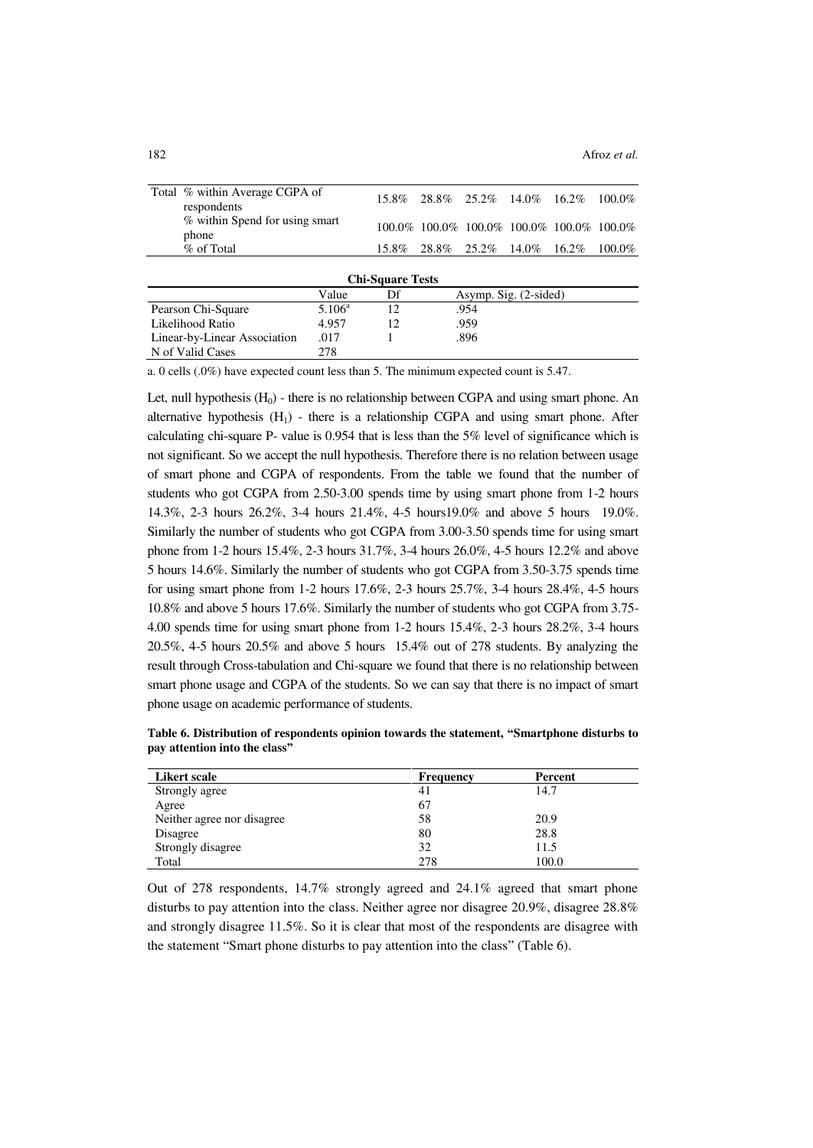| Total % within Average CGPA of<br>respondents |  |  | 15.8% 28.8% 25.2% 14.0% 16.2% 100.0%       |  |
|-----------------------------------------------|--|--|--------------------------------------------|--|
| % within Spend for using smart<br>phone       |  |  | 100.0% 100.0% 100.0% 100.0% 100.0% 100.0%  |  |
| % of Total                                    |  |  | 15.8\% 28.8\% 25.2\% 14.0\% 16.2\% 100.0\% |  |
|                                               |  |  |                                            |  |

| <b>Chi-Square Tests</b>      |                 |    |                       |  |
|------------------------------|-----------------|----|-----------------------|--|
|                              | Value           | Df | Asymp. Sig. (2-sided) |  |
| Pearson Chi-Square           | $5.106^{\rm a}$ |    | .954                  |  |
| Likelihood Ratio             | 4.957           |    | .959                  |  |
| Linear-by-Linear Association | .017            |    | .896                  |  |
| N of Valid Cases             | 278             |    |                       |  |

a. 0 cells (.0%) have expected count less than 5. The minimum expected count is 5.47.

Let, null hypothesis  $(H_0)$  - there is no relationship between CGPA and using smart phone. An alternative hypothesis  $(H_1)$  - there is a relationship CGPA and using smart phone. After calculating chi-square P- value is 0.954 that is less than the 5% level of significance which is not significant. So we accept the null hypothesis. Therefore there is no relation between usage of smart phone and CGPA of respondents. From the table we found that the number of students who got CGPA from 2.50-3.00 spends time by using smart phone from 1-2 hours 14.3%, 2-3 hours 26.2%, 3-4 hours 21.4%, 4-5 hours19.0% and above 5 hours 19.0%. Similarly the number of students who got CGPA from 3.00-3.50 spends time for using smart phone from 1-2 hours 15.4%, 2-3 hours 31.7%, 3-4 hours 26.0%, 4-5 hours 12.2% and above 5 hours 14.6%. Similarly the number of students who got CGPA from 3.50-3.75 spends time for using smart phone from 1-2 hours 17.6%, 2-3 hours 25.7%, 3-4 hours 28.4%, 4-5 hours 10.8% and above 5 hours 17.6%. Similarly the number of students who got CGPA from 3.75- 4.00 spends time for using smart phone from 1-2 hours 15.4%, 2-3 hours 28.2%, 3-4 hours 20.5%, 4-5 hours 20.5% and above 5 hours 15.4% out of 278 students. By analyzing the result through Cross-tabulation and Chi-square we found that there is no relationship between smart phone usage and CGPA of the students. So we can say that there is no impact of smart phone usage on academic performance of students.

**Table 6. Distribution of respondents opinion towards the statement, "Smartphone disturbs to pay attention into the class"**

| Likert scale                | <b>Frequency</b> | Percent |  |
|-----------------------------|------------------|---------|--|
| Strongly agree              | 41               | 14.7    |  |
| Agree                       | 67               |         |  |
| Neither agree nor disagree. | 58               | 20.9    |  |
| Disagree                    | 80               | 28.8    |  |
| Strongly disagree           | 32               | 11.5    |  |
| Total                       | 278              | 100.0   |  |

Out of 278 respondents, 14.7% strongly agreed and 24.1% agreed that smart phone disturbs to pay attention into the class. Neither agree nor disagree 20.9%, disagree 28.8% and strongly disagree 11.5%. So it is clear that most of the respondents are disagree with the statement "Smart phone disturbs to pay attention into the class" (Table 6).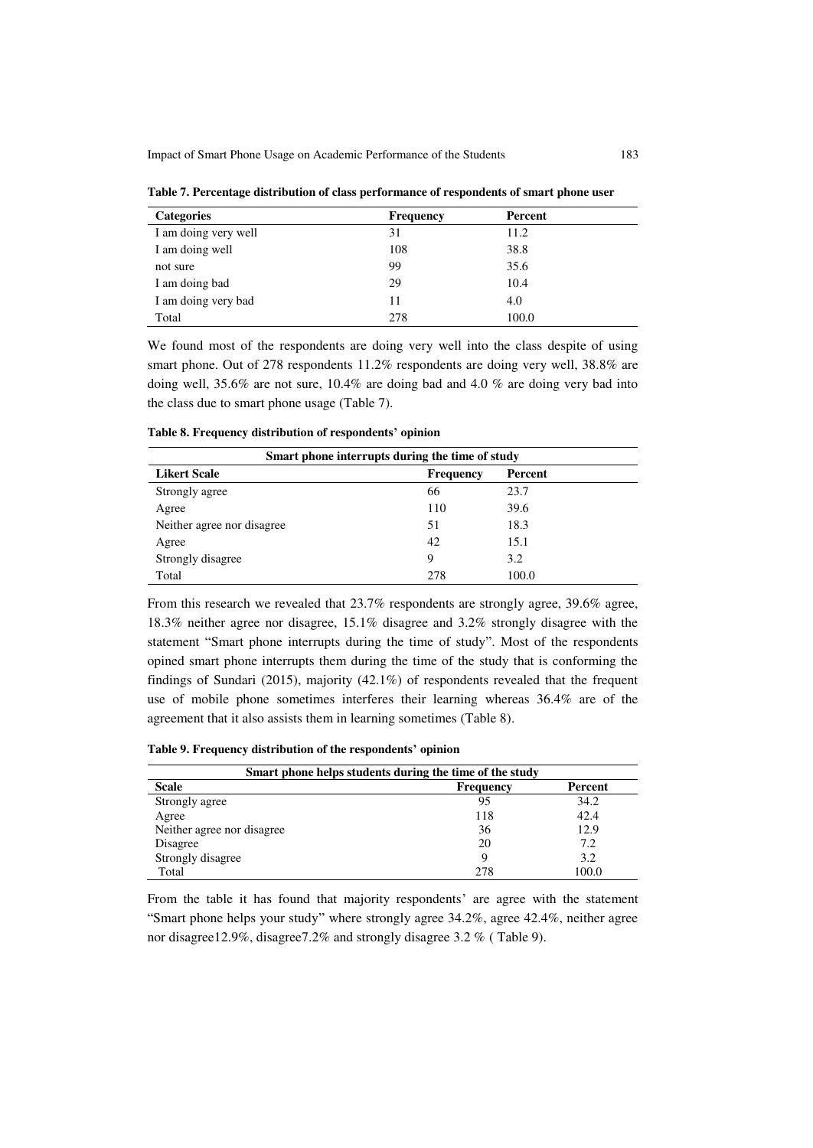Impact of Smart Phone Usage on Academic Performance of the Students 183

| <b>Categories</b>    | <b>Frequency</b> | Percent |  |
|----------------------|------------------|---------|--|
| I am doing very well | 31               | 11.2    |  |
| I am doing well      | 108              | 38.8    |  |
| not sure             | 99               | 35.6    |  |
| I am doing bad       | 29               | 10.4    |  |
| I am doing very bad  | 11               | 4.0     |  |
| Total                | 278              | 100.0   |  |

**Table 7. Percentage distribution of class performance of respondents of smart phone user**

We found most of the respondents are doing very well into the class despite of using smart phone. Out of 278 respondents 11.2% respondents are doing very well, 38.8% are doing well, 35.6% are not sure, 10.4% are doing bad and 4.0 % are doing very bad into the class due to smart phone usage (Table 7).

| Table 8. Frequency distribution of respondents' opinion |  |  |  |  |
|---------------------------------------------------------|--|--|--|--|
|---------------------------------------------------------|--|--|--|--|

| Smart phone interrupts during the time of study |                  |         |  |  |
|-------------------------------------------------|------------------|---------|--|--|
| <b>Likert Scale</b>                             | <b>Frequency</b> | Percent |  |  |
| Strongly agree                                  | 66               | 23.7    |  |  |
| Agree                                           | 110              | 39.6    |  |  |
| Neither agree nor disagree.                     | 51               | 18.3    |  |  |
| Agree                                           | 42               | 15.1    |  |  |
| Strongly disagree                               | 9                | 3.2     |  |  |
| Total                                           | 278              | 100.0   |  |  |

From this research we revealed that 23.7% respondents are strongly agree, 39.6% agree, 18.3% neither agree nor disagree, 15.1% disagree and 3.2% strongly disagree with the statement "Smart phone interrupts during the time of study". Most of the respondents opined smart phone interrupts them during the time of the study that is conforming the findings of Sundari (2015), majority (42.1%) of respondents revealed that the frequent use of mobile phone sometimes interferes their learning whereas 36.4% are of the agreement that it also assists them in learning sometimes (Table 8).

| Table 9. Frequency distribution of the respondents' opinion |  |  |
|-------------------------------------------------------------|--|--|
|                                                             |  |  |

| Smart phone helps students during the time of the study |                  |         |  |  |  |
|---------------------------------------------------------|------------------|---------|--|--|--|
| <b>Scale</b>                                            | <b>Frequency</b> | Percent |  |  |  |
| Strongly agree                                          | 95               | 34.2    |  |  |  |
| Agree                                                   | 118              | 42.4    |  |  |  |
| Neither agree nor disagree                              | 36               | 12.9    |  |  |  |
| Disagree                                                | 20               | 7.2     |  |  |  |
| Strongly disagree                                       |                  | 3.2     |  |  |  |
| Total                                                   | 278              | 100.0   |  |  |  |

From the table it has found that majority respondents' are agree with the statement "Smart phone helps your study" where strongly agree 34.2%, agree 42.4%, neither agree nor disagree12.9%, disagree7.2% and strongly disagree 3.2 % ( Table 9).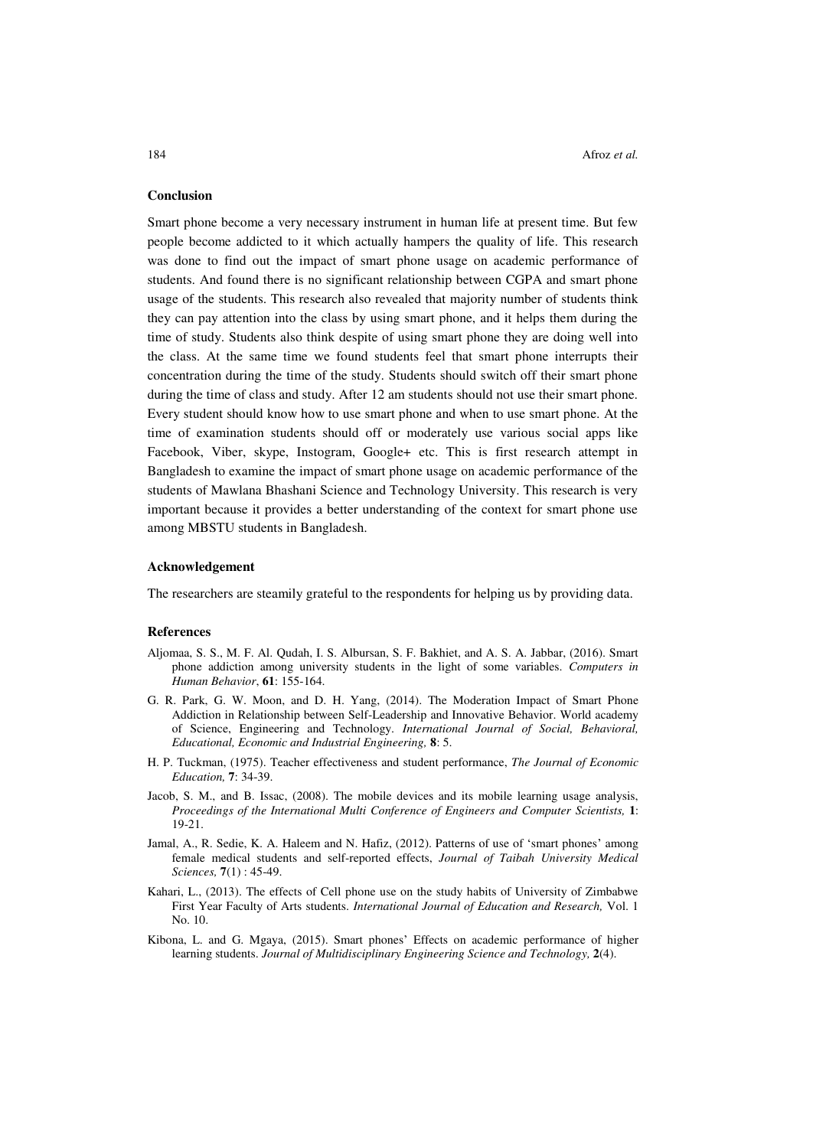#### **Conclusion**

Smart phone become a very necessary instrument in human life at present time. But few people become addicted to it which actually hampers the quality of life. This research was done to find out the impact of smart phone usage on academic performance of students. And found there is no significant relationship between CGPA and smart phone usage of the students. This research also revealed that majority number of students think they can pay attention into the class by using smart phone, and it helps them during the time of study. Students also think despite of using smart phone they are doing well into the class. At the same time we found students feel that smart phone interrupts their concentration during the time of the study. Students should switch off their smart phone during the time of class and study. After 12 am students should not use their smart phone. Every student should know how to use smart phone and when to use smart phone. At the time of examination students should off or moderately use various social apps like Facebook, Viber, skype, Instogram, Google+ etc. This is first research attempt in Bangladesh to examine the impact of smart phone usage on academic performance of the students of Mawlana Bhashani Science and Technology University. This research is very important because it provides a better understanding of the context for smart phone use among MBSTU students in Bangladesh.

#### **Acknowledgement**

The researchers are steamily grateful to the respondents for helping us by providing data.

## **References**

- Aljomaa, S. S., M. F. Al. Qudah, I. S. Albursan, S. F. Bakhiet, and A. S. A. Jabbar, (2016). Smart phone addiction among university students in the light of some variables. *Computers in Human Behavior*, **61**: 155-164.
- G. R. Park, G. W. Moon, and D. H. Yang, (2014). The Moderation Impact of Smart Phone Addiction in Relationship between Self-Leadership and Innovative Behavior. World academy of Science, Engineering and Technology. *International Journal of Social, Behavioral, Educational, Economic and Industrial Engineering,* **8**: 5.
- H. P. Tuckman, (1975). Teacher effectiveness and student performance, *The Journal of Economic Education,* **7**: 34-39.
- Jacob, S. M., and B. Issac, (2008). The mobile devices and its mobile learning usage analysis, *Proceedings of the International Multi Conference of Engineers and Computer Scientists,* **1**: 19-21.
- Jamal, A., R. Sedie, K. A. Haleem and N. Hafiz, (2012). Patterns of use of 'smart phones' among female medical students and self-reported effects, *Journal of Taibah University Medical Sciences,* **7**(1) : 45-49.
- Kahari, L., (2013). The effects of Cell phone use on the study habits of University of Zimbabwe First Year Faculty of Arts students. *International Journal of Education and Research,* Vol. 1 No. 10.
- Kibona, L. and G. Mgaya, (2015). Smart phones' Effects on academic performance of higher learning students. *Journal of Multidisciplinary Engineering Science and Technology,* **2**(4).